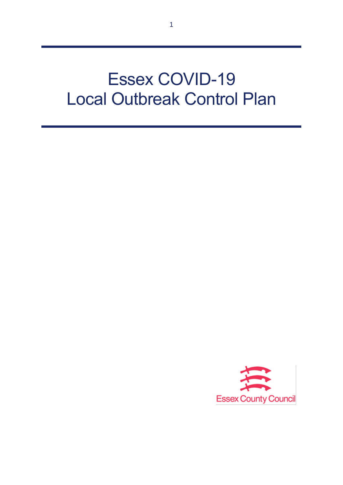# Essex COVID-19 Local Outbreak Control Plan

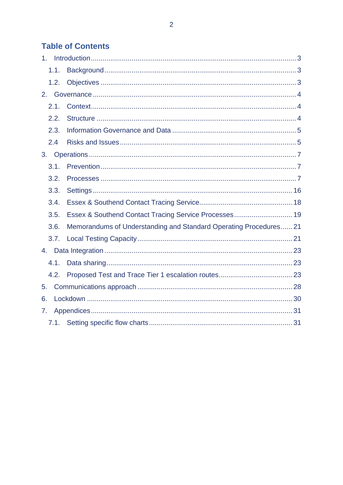# **Table of Contents**

| 1.1. |                                                                   |  |
|------|-------------------------------------------------------------------|--|
| 1.2. |                                                                   |  |
| 2.   |                                                                   |  |
| 2.1. |                                                                   |  |
| 2.2. |                                                                   |  |
| 2.3. |                                                                   |  |
| 2.4  |                                                                   |  |
|      |                                                                   |  |
| 3.1. |                                                                   |  |
| 3.2. |                                                                   |  |
| 3.3. |                                                                   |  |
| 3.4. |                                                                   |  |
| 3.5. | Essex & Southend Contact Tracing Service Processes 19             |  |
| 3.6. | Memorandums of Understanding and Standard Operating Procedures 21 |  |
| 3.7. |                                                                   |  |
|      |                                                                   |  |
| 4.1. |                                                                   |  |
| 4.2. |                                                                   |  |
| 5.   |                                                                   |  |
| 6.   |                                                                   |  |
| 7.   |                                                                   |  |
|      |                                                                   |  |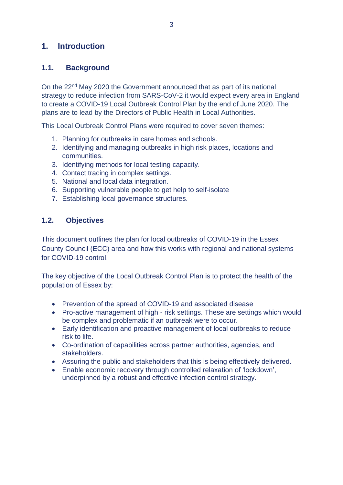# **1. Introduction**

#### **1.1. Background**

On the 22<sup>nd</sup> May 2020 the Government announced that as part of its national strategy to reduce infection from SARS-CoV-2 it would expect every area in England to create a COVID-19 Local Outbreak Control Plan by the end of June 2020. The plans are to lead by the Directors of Public Health in Local Authorities.

This Local Outbreak Control Plans were required to cover seven themes:

- 1. Planning for outbreaks in care homes and schools.
- 2. Identifying and managing outbreaks in high risk places, locations and communities.
- 3. Identifying methods for local testing capacity.
- 4. Contact tracing in complex settings.
- 5. National and local data integration.
- 6. Supporting vulnerable people to get help to self-isolate
- 7. Establishing local governance structures.

#### **1.2. Objectives**

This document outlines the plan for local outbreaks of COVID-19 in the Essex County Council (ECC) area and how this works with regional and national systems for COVID-19 control.

The key objective of the Local Outbreak Control Plan is to protect the health of the population of Essex by:

- Prevention of the spread of COVID-19 and associated disease
- Pro-active management of high risk settings. These are settings which would be complex and problematic if an outbreak were to occur.
- Early identification and proactive management of local outbreaks to reduce risk to life.
- Co-ordination of capabilities across partner authorities, agencies, and stakeholders.
- Assuring the public and stakeholders that this is being effectively delivered.
- Enable economic recovery through controlled relaxation of 'lockdown', underpinned by a robust and effective infection control strategy.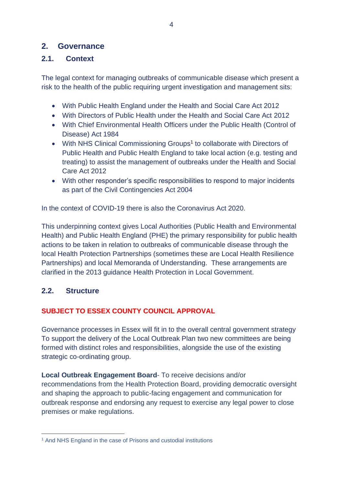# **2. Governance**

## **2.1. Context**

The legal context for managing outbreaks of communicable disease which present a risk to the health of the public requiring urgent investigation and management sits:

- With Public Health England under the Health and Social Care Act 2012
- With Directors of Public Health under the Health and Social Care Act 2012
- With Chief Environmental Health Officers under the Public Health (Control of Disease) Act 1984
- With NHS Clinical Commissioning Groups<sup>1</sup> to collaborate with Directors of Public Health and Public Health England to take local action (e.g. testing and treating) to assist the management of outbreaks under the Health and Social Care Act 2012
- With other responder's specific responsibilities to respond to major incidents as part of the Civil Contingencies Act 2004

In the context of COVID-19 there is also the Coronavirus Act 2020.

This underpinning context gives Local Authorities (Public Health and Environmental Health) and Public Health England (PHE) the primary responsibility for public health actions to be taken in relation to outbreaks of communicable disease through the local Health Protection Partnerships (sometimes these are Local Health Resilience Partnerships) and local Memoranda of Understanding. These arrangements are clarified in the 2013 guidance Health Protection in Local Government.

#### **2.2. Structure**

#### **SUBJECT TO ESSEX COUNTY COUNCIL APPROVAL**

Governance processes in Essex will fit in to the overall central government strategy To support the delivery of the Local Outbreak Plan two new committees are being formed with distinct roles and responsibilities, alongside the use of the existing strategic co-ordinating group.

**Local Outbreak Engagement Board**- To receive decisions and/or recommendations from the Health Protection Board, providing democratic oversight and shaping the approach to public-facing engagement and communication for outbreak response and endorsing any request to exercise any legal power to close premises or make regulations.

<sup>1</sup> And NHS England in the case of Prisons and custodial institutions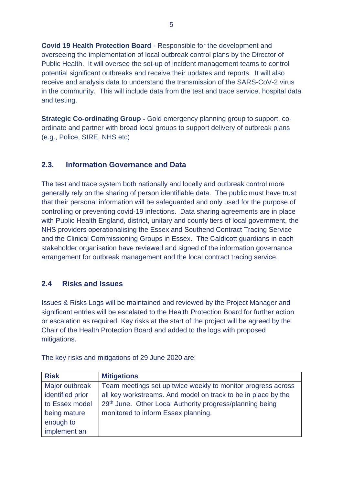**Covid 19 Health Protection Board** - Responsible for the development and overseeing the implementation of local outbreak control plans by the Director of Public Health. It will oversee the set-up of incident management teams to control potential significant outbreaks and receive their updates and reports. It will also receive and analysis data to understand the transmission of the SARS-CoV-2 virus in the community. This will include data from the test and trace service, hospital data and testing.

**Strategic Co-ordinating Group -** Gold emergency planning group to support, coordinate and partner with broad local groups to support delivery of outbreak plans (e.g., Police, SIRE, NHS etc)

#### **2.3. Information Governance and Data**

The test and trace system both nationally and locally and outbreak control more generally rely on the sharing of person identifiable data. The public must have trust that their personal information will be safeguarded and only used for the purpose of controlling or preventing covid-19 infections. Data sharing agreements are in place with Public Health England, district, unitary and county tiers of local government, the NHS providers operationalising the Essex and Southend Contract Tracing Service and the Clinical Commissioning Groups in Essex. The Caldicott guardians in each stakeholder organisation have reviewed and signed of the information governance arrangement for outbreak management and the local contract tracing service.

#### **2.4 Risks and Issues**

Issues & Risks Logs will be maintained and reviewed by the Project Manager and significant entries will be escalated to the Health Protection Board for further action or escalation as required. Key risks at the start of the project will be agreed by the Chair of the Health Protection Board and added to the logs with proposed mitigations.

| <b>Risk</b>      | <b>Mitigations</b>                                            |
|------------------|---------------------------------------------------------------|
| Major outbreak   | Team meetings set up twice weekly to monitor progress across  |
| identified prior | all key workstreams. And model on track to be in place by the |
| to Essex model   | 29th June. Other Local Authority progress/planning being      |
| being mature     | monitored to inform Essex planning.                           |
| enough to        |                                                               |
| implement an     |                                                               |

The key risks and mitigations of 29 June 2020 are: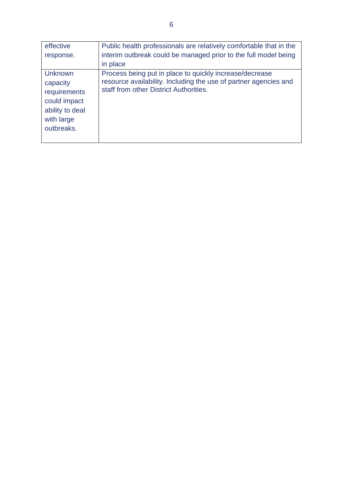| effective                                                                                   | Public health professionals are relatively comfortable that in the                                                                                                    |
|---------------------------------------------------------------------------------------------|-----------------------------------------------------------------------------------------------------------------------------------------------------------------------|
| response.                                                                                   | interim outbreak could be managed prior to the full model being                                                                                                       |
|                                                                                             | in place                                                                                                                                                              |
| <b>Unknown</b><br>capacity<br>requirements<br>could impact<br>ability to deal<br>with large | Process being put in place to quickly increase/decrease<br>resource availability. Including the use of partner agencies and<br>staff from other District Authorities. |
| outbreaks.                                                                                  |                                                                                                                                                                       |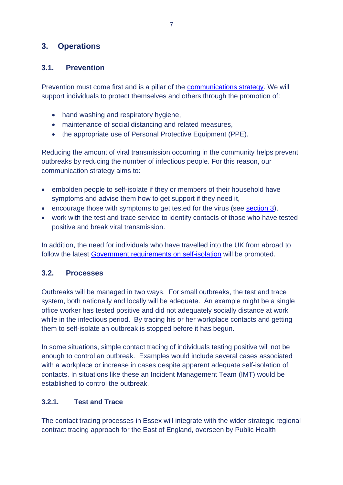# **3. Operations**

# **3.1. Prevention**

Prevention must come first and is a pillar of the communications strategy. We will support individuals to protect themselves and others through the promotion of:

- hand washing and respiratory hygiene,
- maintenance of social distancing and related measures,
- the appropriate use of Personal Protective Equipment (PPE).

Reducing the amount of viral transmission occurring in the community helps prevent outbreaks by reducing the number of infectious people. For this reason, our communication strategy aims to:

- embolden people to self-isolate if they or members of their household have symptoms and advise them how to get support if they need it,
- encourage those with symptoms to get tested for the virus (see [section 3\)](#page-9-0),
- work with the test and trace service to identify contacts of those who have tested positive and break viral transmission.

In addition, the need for individuals who have travelled into the UK from abroad to follow the latest [Government requirements on self-isolation](https://www.gov.uk/uk-border-control) will be promoted.

# **3.2. Processes**

Outbreaks will be managed in two ways. For small outbreaks, the test and trace system, both nationally and locally will be adequate. An example might be a single office worker has tested positive and did not adequately socially distance at work while in the infectious period. By tracing his or her workplace contacts and getting them to self-isolate an outbreak is stopped before it has begun.

In some situations, simple contact tracing of individuals testing positive will not be enough to control an outbreak. Examples would include several cases associated with a workplace or increase in cases despite apparent adequate self-isolation of contacts. In situations like these an Incident Management Team (IMT) would be established to control the outbreak.

# **3.2.1. Test and Trace**

The contact tracing processes in Essex will integrate with the wider strategic regional contract tracing approach for the East of England, overseen by Public Health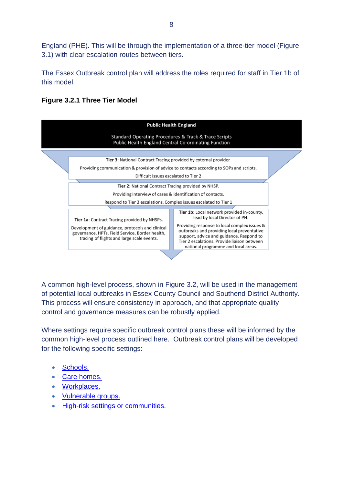England (PHE). This will be through the implementation of a three-tier model (Figure 3.1) with clear escalation routes between tiers.

The Essex Outbreak control plan will address the roles required for staff in Tier 1b of this model.

#### **Figure 3.2.1 Three Tier Model**



A common high-level process, shown in Figure 3.2, will be used in the management of potential local outbreaks in Essex County Council and Southend District Authority. This process will ensure consistency in approach, and that appropriate quality control and governance measures can be robustly applied.

Where settings require specific outbreak control plans these will be informed by the common high-level process outlined here. Outbreak control plans will be developed for the following specific settings:

- [Schools.](#page-15-0)
- [Care homes.](#page-15-0)
- [Workplaces.](#page-15-0)
- [Vulnerable groups.](#page-15-0)
- [High-risk settings or communities.](#page-15-0)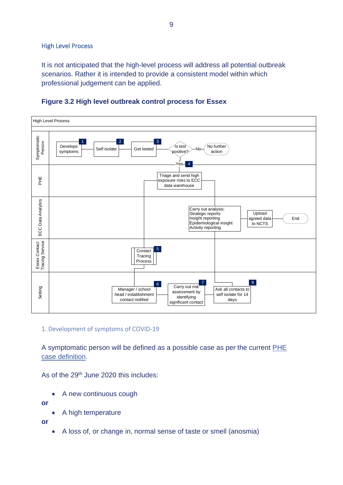#### High Level Process

It is not anticipated that the high-level process will address all potential outbreak scenarios. Rather it is intended to provide a consistent model within which professional judgement can be applied.



#### **Figure 3.2 High level outbreak control process for Essex**

#### 1. Development of symptoms of COVID-19

A symptomatic person will be defined as a possible case as per the current [PHE](https://www.gov.uk/government/publications/wuhan-novel-coronavirus-initial-investigation-of-possible-cases/investigation-and-initial-clinical-management-of-possible-cases-of-wuhan-novel-coronavirus-wn-cov-infection#criteria) [case definition.](https://www.gov.uk/government/publications/wuhan-novel-coronavirus-initial-investigation-of-possible-cases/investigation-and-initial-clinical-management-of-possible-cases-of-wuhan-novel-coronavirus-wn-cov-infection#criteria)

As of the 29<sup>th</sup> June 2020 this includes:

A new continuous cough

**or**

• A high temperature

**or**

• A loss of, or change in, normal sense of taste or smell (anosmia)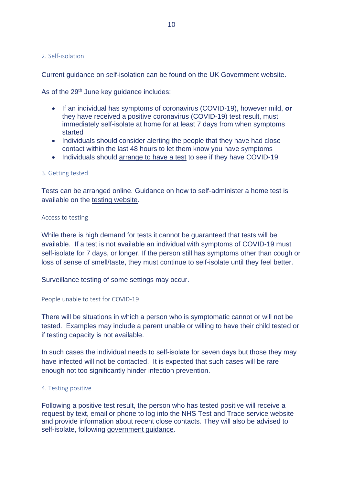#### 2. Self-isolation

Current guidance on self-isolation can be found on the [UK Government website.](https://www.gov.uk/government/publications/covid-19-stay-at-home-guidance/stay-at-home-guidance-for-households-with-possible-coronavirus-covid-19-infection)

As of the 29<sup>th</sup> June key guidance includes:

- If an individual has symptoms of coronavirus (COVID-19), however mild, **or**  they have received a positive coronavirus (COVID-19) test result, must immediately self-isolate at home for at least 7 days from when symptoms started
- Individuals should consider alerting the people that they have had close contact within the last 48 hours to let them know you have symptoms
- Individuals should [arrange to have a test](https://www.nhs.uk/conditions/coronavirus-covid-19/testing-and-tracing/) to see if they have COVID-19

#### <span id="page-9-0"></span>3. Getting tested

Tests can be arranged online. Guidance on how to self-administer a home test is available on the [testing website.](https://wwimw.nhs.uk/conditions/coronavirus-covid-19/testing-and-tracing/ask-for-a-test-to-check-if-you-have-coronavirus/)

#### Access to testing

While there is high demand for tests it cannot be guaranteed that tests will be available. If a test is not available an individual with symptoms of COVID-19 must self-isolate for 7 days, or longer. If the person still has symptoms other than cough or loss of sense of smell/taste, they must continue to self-isolate until they feel better.

Surveillance testing of some settings may occur.

#### People unable to test for COVID-19

There will be situations in which a person who is symptomatic cannot or will not be tested. Examples may include a parent unable or willing to have their child tested or if testing capacity is not available.

In such cases the individual needs to self-isolate for seven days but those they may have infected will not be contacted. It is expected that such cases will be rare enough not too significantly hinder infection prevention.

#### 4. Testing positive

Following a positive test result, the person who has tested positive will receive a request by text, email or phone to log into the NHS Test and Trace service website and provide information about recent close contacts. They will also be advised to self-isolate, following [government guidance.](https://www.gov.uk/government/publications/covid-19-stay-at-home-guidance/stay-at-home-guidance-for-households-with-possible-coronavirus-covid-19-infection)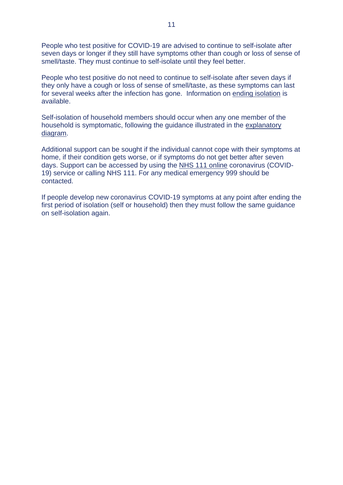People who test positive for COVID-19 are advised to continue to self-isolate after seven days or longer if they still have symptoms other than cough or loss of sense of smell/taste. They must continue to self-isolate until they feel better.

People who test positive do not need to continue to self-isolate after seven days if they only have a cough or loss of sense of smell/taste, as these symptoms can last for several weeks after the infection has gone. Information on [ending isolation](https://www.gov.uk/government/publications/covid-19-stay-at-home-guidance/stay-at-home-guidance-for-households-with-possible-coronavirus-covid-19-infection#ending-isolation) is available.

Self-isolation of household members should occur when any one member of the household is symptomatic, following the guidance illustrated in the [explanatory](https://assets.publishing.service.gov.uk/government/uploads/system/uploads/attachment_data/file/873359/Stay_at_home_guidance_diagram.pdf)  [diagram.](https://assets.publishing.service.gov.uk/government/uploads/system/uploads/attachment_data/file/873359/Stay_at_home_guidance_diagram.pdf)

Additional support can be sought if the individual cannot cope with their symptoms at home, if their condition gets worse, or if symptoms do not get better after seven days. Support can be accessed by using the [NHS 111 online](https://111.nhs.uk/) coronavirus (COVID-19) service or calling NHS 111. For any medical emergency 999 should be contacted.

If people develop new coronavirus COVID-19 symptoms at any point after ending the first period of isolation (self or household) then they must follow the same guidance on self-isolation again.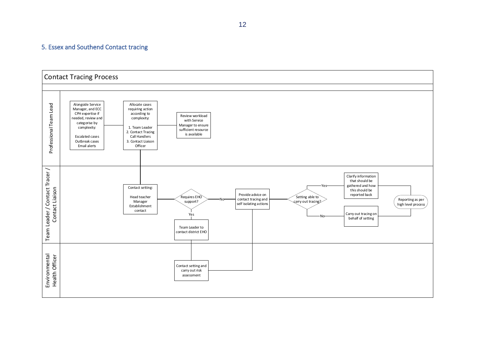#### 5. Essex and Southend Contact tracing

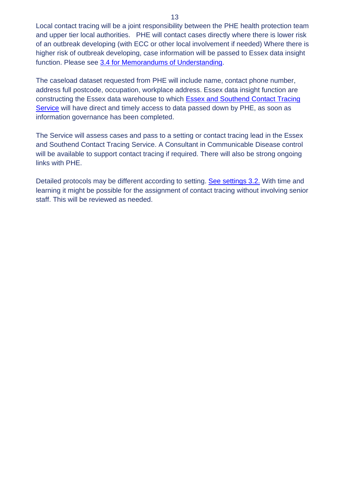Local contact tracing will be a joint responsibility between the PHE health protection team and upper tier local authorities. PHE will contact cases directly where there is lower risk of an outbreak developing (with ECC or other local involvement if needed) Where there is higher risk of outbreak developing, case information will be passed to Essex data insight function. Please see [3.4 for Memorandums of Understanding.](#page-20-0)

The caseload dataset requested from PHE will include name, contact phone number, address full postcode, occupation, workplace address. Essex data insight function are constructing the Essex data warehouse to which [Essex and Southend Contact Tracing](#page-17-0)  [Service](#page-17-0) will have direct and timely access to data passed down by PHE, as soon as information governance has been completed.

The Service will assess cases and pass to a setting or contact tracing lead in the Essex and Southend Contact Tracing Service. A Consultant in Communicable Disease control will be available to support contact tracing if required. There will also be strong ongoing links with PHE.

Detailed protocols may be different according to setting. [See settings 3.2.](#page-15-0) With time and learning it might be possible for the assignment of contact tracing without involving senior staff. This will be reviewed as needed.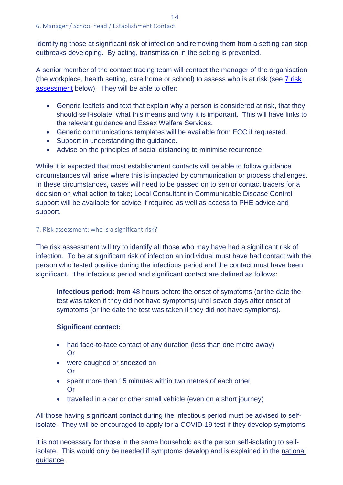Identifying those at significant risk of infection and removing them from a setting can stop outbreaks developing. By acting, transmission in the setting is prevented.

A senior member of the contact tracing team will contact the manager of the organisation (the workplace, health setting, care home or school) to assess who is at risk (see [7 risk](#page-13-0)  [assessment](#page-13-0) below). They will be able to offer:

- Generic leaflets and text that explain why a person is considered at risk, that they should self-isolate, what this means and why it is important. This will have links to the relevant guidance and Essex Welfare Services.
- Generic communications templates will be available from ECC if requested.
- Support in understanding the guidance.
- Advise on the principles of social distancing to minimise recurrence.

While it is expected that most establishment contacts will be able to follow guidance circumstances will arise where this is impacted by communication or process challenges. In these circumstances, cases will need to be passed on to senior contact tracers for a decision on what action to take; Local Consultant in Communicable Disease Control support will be available for advice if required as well as access to PHE advice and support.

#### <span id="page-13-0"></span>7. Risk assessment: who is a significant risk?

The risk assessment will try to identify all those who may have had a significant risk of infection. To be at significant risk of infection an individual must have had contact with the person who tested positive during the infectious period and the contact must have been significant. The infectious period and significant contact are defined as follows:

**Infectious period:** from 48 hours before the onset of symptoms (or the date the test was taken if they did not have symptoms) until seven days after onset of symptoms (or the date the test was taken if they did not have symptoms).

#### **Significant contact:**

- had face-to-face contact of any duration (less than one metre away) Or
- were coughed or sneezed on Or
- spent more than 15 minutes within two metres of each other Or
- travelled in a car or other small vehicle (even on a short journey)

All those having significant contact during the infectious period must be advised to selfisolate. They will be encouraged to apply for a COVID-19 test if they develop symptoms.

It is not necessary for those in the same household as the person self-isolating to selfisolate. This would only be needed if symptoms develop and is explained in the national [guidance.](https://www.gov.uk/government/publications/covid-19-stay-at-home-guidance/stay-at-home-guidance-for-households-with-possible-coronavirus-covid-19-infection)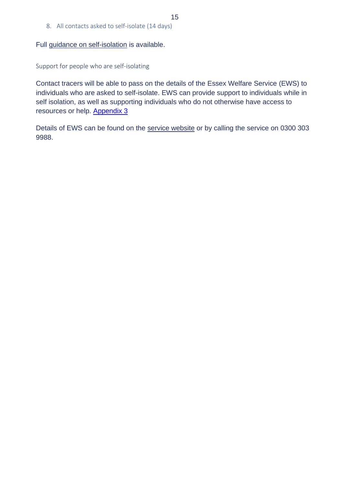8. All contacts asked to self-isolate (14 days)

Full [guidance on self-isolation](file:///C:/Users/fiona.simmons-jones/Downloads/%20https/www.gov.uk/government/publications/covid-19-stay-at-home-guidance/stay-at-home-guidance-for-households-with-possible-coronavirus-covid-19-infection) is available.

Support for people who are self-isolating

Contact tracers will be able to pass on the details of the Essex Welfare Service (EWS) to individuals who are asked to self-isolate. EWS can provide support to individuals while in self isolation, as well as supporting individuals who do not otherwise have access to resources or help. **[Appendix 3](#page-30-0)** 

Details of EWS can be found on the [service website](https://www.essexwelfareservice.org.uk/) or by calling the service on 0300 303 9988.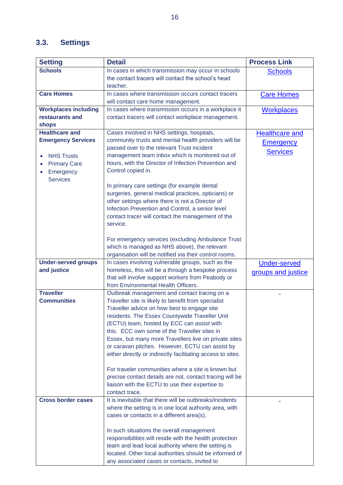# <span id="page-15-0"></span>**3.3. Settings**

| <b>Setting</b>                         | <b>Detail</b>                                                                                               | <b>Process Link</b>   |
|----------------------------------------|-------------------------------------------------------------------------------------------------------------|-----------------------|
| <b>Schools</b>                         | In cases in which transmission may occur in schools                                                         | <b>Schools</b>        |
|                                        | the contact tracers will contact the school's head                                                          |                       |
|                                        | teacher.                                                                                                    |                       |
| <b>Care Homes</b>                      | In cases where transmission occurs contact tracers                                                          | <b>Care Homes</b>     |
|                                        | will contact care home management.                                                                          |                       |
| <b>Workplaces including</b>            | In cases where transmission occurs in a workplace it                                                        | <b>Workplaces</b>     |
| restaurants and                        | contact tracers will contact workplace management.                                                          |                       |
| shops<br><b>Healthcare and</b>         | Cases involved in NHS settings, hospitals,                                                                  | <b>Healthcare and</b> |
| <b>Emergency Services</b>              | community trusts and mental health providers will be                                                        |                       |
|                                        | passed over to the relevant Trust incident                                                                  | <b>Emergency</b>      |
| <b>NHS Trusts</b><br>$\bullet$         | management team inbox which is monitored out of                                                             | <b>Services</b>       |
| <b>Primary Care</b>                    | hours, with the Director of Infection Prevention and                                                        |                       |
| Emergency<br>$\bullet$                 | Control copied in.                                                                                          |                       |
| <b>Services</b>                        |                                                                                                             |                       |
|                                        | In primary care settings (for example dental                                                                |                       |
|                                        | surgeries, general medical practices, opticians) or                                                         |                       |
|                                        | other settings where there is not a Director of                                                             |                       |
|                                        | Infection Prevention and Control, a senior level                                                            |                       |
|                                        | contact tracer will contact the management of the<br>service.                                               |                       |
|                                        |                                                                                                             |                       |
|                                        | For emergency services (excluding Ambulance Trust                                                           |                       |
|                                        | which is managed as NHS above), the relevant                                                                |                       |
|                                        | organisation will be notified via their control rooms.                                                      |                       |
| <b>Under-served groups</b>             | In cases involving vulnerable groups, such as the                                                           | <b>Under-served</b>   |
| and justice                            | homeless, this will be a through a bespoke process                                                          | groups and justice    |
|                                        | that will involve support workers from Peabody or                                                           |                       |
|                                        | from Environmental Health Officers.                                                                         |                       |
| <b>Traveller</b><br><b>Communities</b> | Outbreak management and contact tracing on a<br>Traveller site is likely to benefit from specialist         |                       |
|                                        | Traveller advice on how best to engage site                                                                 |                       |
|                                        | residents. The Essex Countywide Traveller Unit                                                              |                       |
|                                        | (ECTU) team, hosted by ECC can assist with                                                                  |                       |
|                                        | this. ECC own some of the Traveller sites in                                                                |                       |
|                                        | Essex, but many more Travellers live on private sites                                                       |                       |
|                                        | or caravan pitches. However, ECTU can assist by                                                             |                       |
|                                        | either directly or indirectly facilitating access to sites.                                                 |                       |
|                                        |                                                                                                             |                       |
|                                        | For traveler communities where a site is known but                                                          |                       |
|                                        | precise contact details are not, contact tracing will be<br>liaison with the ECTU to use their expertise to |                       |
|                                        | contact trace.                                                                                              |                       |
| <b>Cross border cases</b>              | It is inevitable that there will be outbreaks/incidents                                                     |                       |
|                                        | where the setting is in one local authority area, with                                                      |                       |
|                                        | cases or contacts in a different area(s).                                                                   |                       |
|                                        |                                                                                                             |                       |
|                                        | In such situations the overall management                                                                   |                       |
|                                        | responsibilities will reside with the health protection                                                     |                       |
|                                        | team and lead local authority where the setting is                                                          |                       |
|                                        | located. Other local authorities should be informed of                                                      |                       |
|                                        | any associated cases or contacts, invited to                                                                |                       |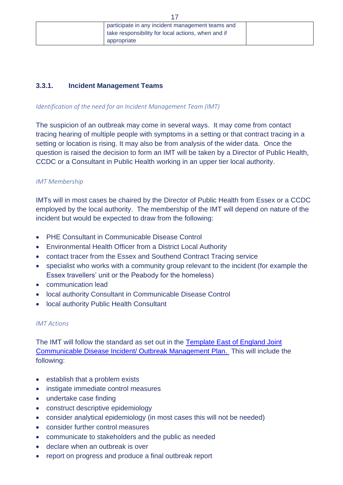|  | participate in any incident management teams and   |  |
|--|----------------------------------------------------|--|
|  | take responsibility for local actions, when and if |  |
|  | appropriate                                        |  |
|  |                                                    |  |

17

#### **3.3.1. Incident Management Teams**

#### *Identification of the need for an Incident Management Team (IMT)*

The suspicion of an outbreak may come in several ways. It may come from contact tracing hearing of multiple people with symptoms in a setting or that contract tracing in a setting or location is rising. It may also be from analysis of the wider data. Once the question is raised the decision to form an IMT will be taken by a Director of Public Health, CCDC or a Consultant in Public Health working in an upper tier local authority.

#### *IMT Membership*

IMTs will in most cases be chaired by the Director of Public Health from Essex or a CCDC employed by the local authority. The membership of the IMT will depend on nature of the incident but would be expected to draw from the following:

- PHE Consultant in Communicable Disease Control
- Environmental Health Officer from a District Local Authority
- contact tracer from the Essex and Southend Contract Tracing service
- specialist who works with a community group relevant to the incident (for example the Essex travellers' unit or the Peabody for the homeless)
- communication lead
- local authority Consultant in Communicable Disease Control
- local authority Public Health Consultant

#### *IMT Actions*

The IMT will follow the standard as set out in the [Template East of England Joint](#page-30-0)  [Communicable Disease Incident/ Outbreak Management Plan.](#page-30-0) This will include the following:

- establish that a problem exists
- instigate immediate control measures
- undertake case finding
- construct descriptive epidemiology
- consider analytical epidemiology (in most cases this will not be needed)
- consider further control measures
- communicate to stakeholders and the public as needed
- declare when an outbreak is over
- report on progress and produce a final outbreak report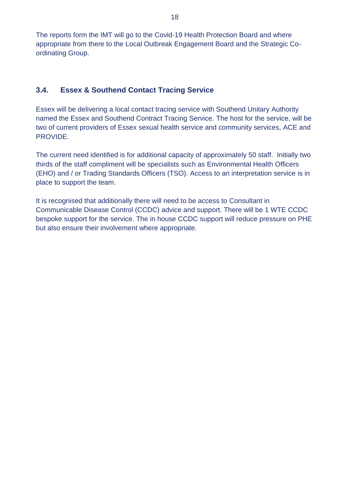The reports form the IMT will go to the Covid-19 Health Protection Board and where appropriate from there to the Local Outbreak Engagement Board and the Strategic Coordinating Group.

# <span id="page-17-0"></span>**3.4. Essex & Southend Contact Tracing Service**

Essex will be delivering a local contact tracing service with Southend Unitary Authority named the Essex and Southend Contract Tracing Service. The host for the service, will be two of current providers of Essex sexual health service and community services, ACE and PROVIDE.

The current need identified is for additional capacity of approximately 50 staff. Initially two thirds of the staff compliment will be specialists such as Environmental Health Officers (EHO) and / or Trading Standards Officers (TSO). Access to an interpretation service is in place to support the team.

It is recognised that additionally there will need to be access to Consultant in Communicable Disease Control (CCDC) advice and support. There will be 1 WTE CCDC bespoke support for the service. The in house CCDC support will reduce pressure on PHE but also ensure their involvement where appropriate.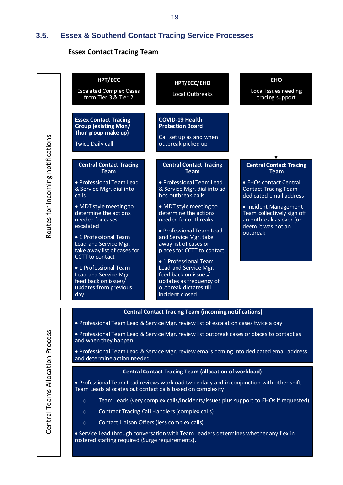## **3.5. Essex & Southend Contact Tracing Service Processes**

#### **Essex Contact Tracing Team**

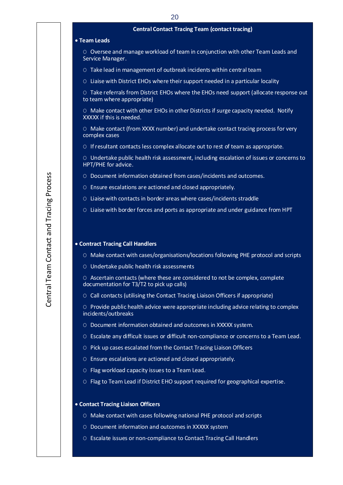|   | <b>Central Contact Tracing Team (contact tracing)</b>                                                                     |
|---|---------------------------------------------------------------------------------------------------------------------------|
|   | • Team Leads                                                                                                              |
|   | O Oversee and manage workload of team in conjunction with other Team Leads and<br>Service Manager.                        |
|   | O Take lead in management of outbreak incidents within central team                                                       |
|   | O Liaise with District EHOs where their support needed in a particular locality                                           |
|   | O Take referrals from District EHOs where the EHOs need support (allocate response out<br>to team where appropriate)      |
|   | O Make contact with other EHOs in other Districts if surge capacity needed. Notify<br>XXXXX if this is needed.            |
|   | O Make contact (from XXXX number) and undertake contact tracing process for very<br>complex cases                         |
|   | O If resultant contacts less complex allocate out to rest of team as appropriate.                                         |
|   | O Undertake public health risk assessment, including escalation of issues or concerns to<br>HPT/PHE for advice.           |
|   | O Document information obtained from cases/incidents and outcomes.                                                        |
|   | O Ensure escalations are actioned and closed appropriately.                                                               |
|   | O Liaise with contacts in border areas where cases/incidents straddle                                                     |
|   | O Liaise with border forces and ports as appropriate and under guidance from HPT                                          |
|   | • Contract Tracing Call Handlers                                                                                          |
|   |                                                                                                                           |
|   | O Make contact with cases/organisations/locations following PHE protocol and scripts                                      |
|   | O Undertake public health risk assessments                                                                                |
|   | O Ascertain contacts (where these are considered to not be complex, complete<br>documentation for T3/T2 to pick up calls) |
|   | O Call contacts (utilising the Contact Tracing Liaison Officers if appropriate)                                           |
|   | O Provide public health advice were appropriate including advice relating to complex<br>incidents/outbreaks               |
| O | Document information obtained and outcomes in XXXXX system.                                                               |
| O | Escalate any difficult issues or difficult non-compliance or concerns to a Team Lead.                                     |
| O | Pick up cases escalated from the Contact Tracing Liaison Officers                                                         |
|   | O Ensure escalations are actioned and closed appropriately.                                                               |
| O | Flag workload capacity issues to a Team Lead.                                                                             |
|   | O Flag to Team Lead if District EHO support required for geographical expertise.                                          |
|   | • Contact Tracing Liaison Officers                                                                                        |
|   | O Make contact with cases following national PHE protocol and scripts                                                     |
|   | O Document information and outcomes in XXXXX system                                                                       |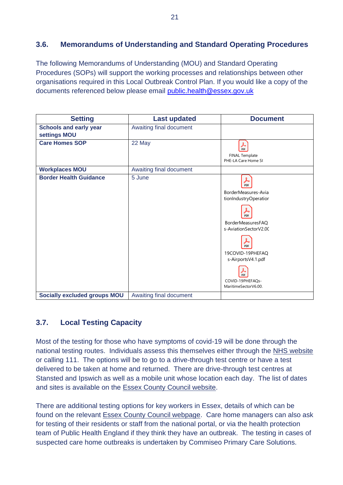## <span id="page-20-0"></span>**3.6. Memorandums of Understanding and Standard Operating Procedures**

The following Memorandums of Understanding (MOU) and Standard Operating Procedures (SOPs) will support the working processes and relationships between other organisations required in this Local Outbreak Control Plan. If you would like a copy of the documents referenced below please email [public.health@essex.gov.uk](mailto:public.health@essex.gov.uk)

| <b>Setting</b>                                | <b>Last updated</b>     | <b>Document</b>                                                                                                                                                                                                               |
|-----------------------------------------------|-------------------------|-------------------------------------------------------------------------------------------------------------------------------------------------------------------------------------------------------------------------------|
| <b>Schools and early year</b><br>settings MOU | Awaiting final document |                                                                                                                                                                                                                               |
| <b>Care Homes SOP</b>                         | 22 May                  | $\lambda$<br>PDF<br><b>FINAL Template</b><br>PHE-LA Care Home S(                                                                                                                                                              |
| <b>Workplaces MOU</b>                         | Awaiting final document |                                                                                                                                                                                                                               |
| <b>Border Health Guidance</b>                 | 5 June                  | ⅄<br>PDF<br>BorderMeasures-Avia<br>tionIndustryOperatior<br>PDF<br><b>BorderMeasuresFAO</b><br>s-AviationSectorV2.00<br>PDF<br>19COVID-19PHEFAQ<br>s-AirportsV4.1.pdf<br>y<br>PDF<br>COVID-19PHEFAQs-<br>MaritimeSectorV6.00. |
| <b>Socially excluded groups MOU</b>           | Awaiting final document |                                                                                                                                                                                                                               |

# **3.7. Local Testing Capacity**

Most of the testing for those who have symptoms of covid-19 will be done through the national testing routes. Individuals assess this themselves either through the [NHS website](https://www.nhs.uk/conditions/coronavirus-covid-19/testing-and-tracing/ask-for-a-test-to-check-if-you-have-coronavirus/) or calling 111. The options will be to go to a drive-through test centre or have a test delivered to be taken at home and returned. There are drive-through test centres at Stansted and Ipswich as well as a mobile unit whose location each day. The list of dates and sites is available on the [Essex County Council website.](https://www.essex.gov.uk/news/current-dates-and-locations-for-mobile-testing-units)

There are additional testing options for key workers in Essex, details of which can be found on the relevant [Essex County Council webpage.](https://www.essex.gov.uk/getting-tested-for-covid-19) Care home managers can also ask for testing of their residents or staff from the national portal, or via the health protection team of Public Health England if they think they have an outbreak. The testing in cases of suspected care home outbreaks is undertaken by Commiseo Primary Care Solutions.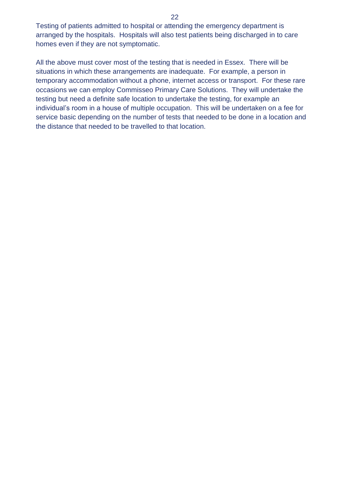Testing of patients admitted to hospital or attending the emergency department is arranged by the hospitals. Hospitals will also test patients being discharged in to care homes even if they are not symptomatic.

All the above must cover most of the testing that is needed in Essex. There will be situations in which these arrangements are inadequate. For example, a person in temporary accommodation without a phone, internet access or transport. For these rare occasions we can employ Commisseo Primary Care Solutions. They will undertake the testing but need a definite safe location to undertake the testing, for example an individual's room in a house of multiple occupation. This will be undertaken on a fee for service basic depending on the number of tests that needed to be done in a location and the distance that needed to be travelled to that location.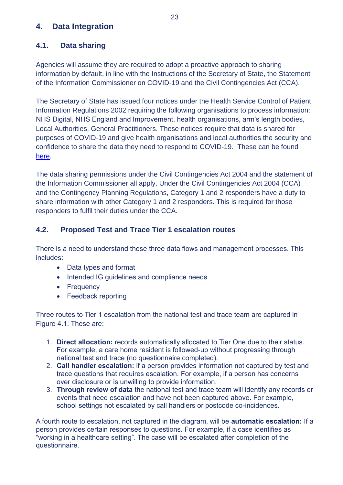# **4. Data Integration**

# **4.1. Data sharing**

Agencies will assume they are required to adopt a proactive approach to sharing information by default, in line with the Instructions of the Secretary of State, the Statement of the Information Commissioner on COVID-19 and the Civil Contingencies Act (CCA).

The Secretary of State has issued four notices under the Health Service Control of Patient Information Regulations 2002 requiring the following organisations to process information: NHS Digital, NHS England and Improvement, health organisations, arm's length bodies, Local Authorities, General Practitioners. These notices require that data is shared for purposes of COVID-19 and give health organisations and local authorities the security and confidence to share the data they need to respond to COVID-19. These can be found [here.](https://www.gov.uk/government/publications/coronavirus-covid-19-notification-of-data-controllers-to-share-information)

The data sharing permissions under the Civil Contingencies Act 2004 and the statement of the Information Commissioner all apply. Under the Civil Contingencies Act 2004 (CCA) and the Contingency Planning Regulations, Category 1 and 2 responders have a duty to share information with other Category 1 and 2 responders. This is required for those responders to fulfil their duties under the CCA.

# **4.2. Proposed Test and Trace Tier 1 escalation routes**

There is a need to understand these three data flows and management processes. This includes:

- Data types and format
- Intended IG guidelines and compliance needs
- Frequency
- Feedback reporting

Three routes to Tier 1 escalation from the national test and trace team are captured in Figure 4.1. These are:

- 1. **Direct allocation:** records automatically allocated to Tier One due to their status. For example, a care home resident is followed-up without progressing through national test and trace (no questionnaire completed).
- 2. **Call handler escalation:** if a person provides information not captured by test and trace questions that requires escalation. For example, if a person has concerns over disclosure or is unwilling to provide information.
- 3. **Through review of data** the national test and trace team will identify any records or events that need escalation and have not been captured above. For example, school settings not escalated by call handlers or postcode co-incidences.

A fourth route to escalation, not captured in the diagram, will be **automatic escalation:** If a person provides certain responses to questions. For example, if a case identifies as "working in a healthcare setting". The case will be escalated after completion of the questionnaire.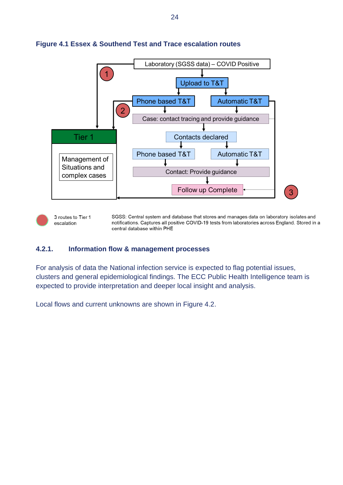

#### **Figure 4.1 Essex & Southend Test and Trace escalation routes**

3 routes to Tier 1 escalation

SGSS: Central system and database that stores and manages data on laboratory isolates and notifications. Captures all positive COVID-19 tests from laboratories across England. Stored in a central database within PHE

#### **4.2.1. Information flow & management processes**

For analysis of data the National infection service is expected to flag potential issues, clusters and general epidemiological findings. The ECC Public Health Intelligence team is expected to provide interpretation and deeper local insight and analysis.

Local flows and current unknowns are shown in Figure 4.2.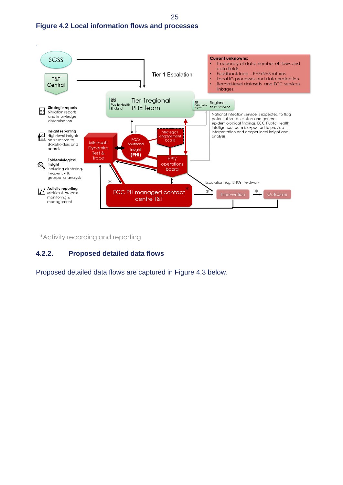



\*Activity recording and reporting

#### **4.2.2. Proposed detailed data flows**

Proposed detailed data flows are captured in Figure 4.3 below.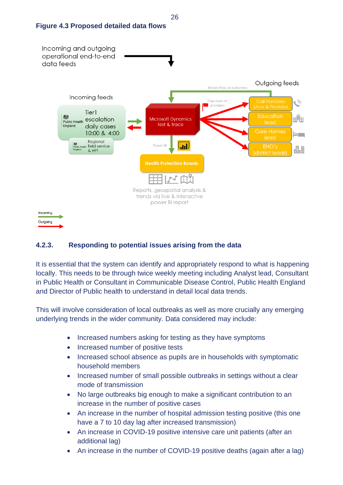



# **4.2.3. Responding to potential issues arising from the data**

It is essential that the system can identify and appropriately respond to what is happening locally. This needs to be through twice weekly meeting including Analyst lead, Consultant in Public Health or Consultant in Communicable Disease Control, Public Health England and Director of Public health to understand in detail local data trends.

This will involve consideration of local outbreaks as well as more crucially any emerging underlying trends in the wider community. Data considered may include:

- Increased numbers asking for testing as they have symptoms
- Increased number of positive tests
- Increased school absence as pupils are in households with symptomatic household members
- Increased number of small possible outbreaks in settings without a clear mode of transmission
- No large outbreaks big enough to make a significant contribution to an increase in the number of positive cases
- An increase in the number of hospital admission testing positive (this one have a 7 to 10 day lag after increased transmission)
- An increase in COVID-19 positive intensive care unit patients (after an additional lag)
- An increase in the number of COVID-19 positive deaths (again after a lag)

26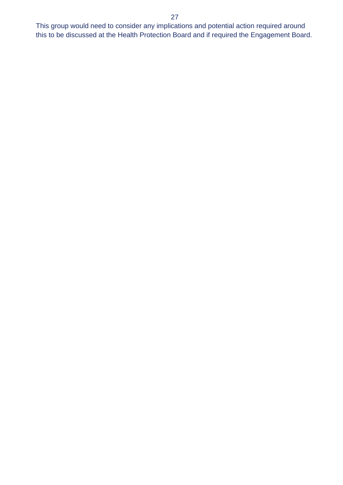This group would need to consider any implications and potential action required around this to be discussed at the Health Protection Board and if required the Engagement Board.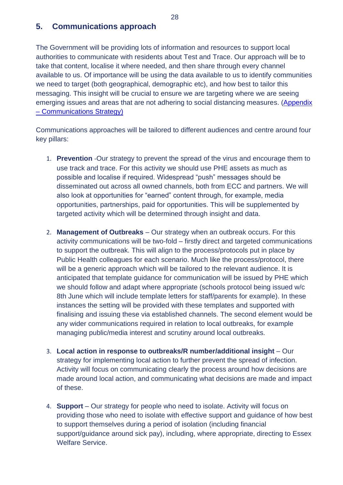## **5. Communications approach**

The Government will be providing lots of information and resources to support local authorities to communicate with residents about Test and Trace. Our approach will be to take that content, localise it where needed, and then share through every channel available to us. Of importance will be using the data available to us to identify communities we need to target (both geographical, demographic etc), and how best to tailor this messaging. This insight will be crucial to ensure we are targeting where we are seeing emerging issues and areas that are not adhering to social distancing measures. [\(Appendix](#page-30-0)  – [Communications Strategy\)](#page-30-0)

Communications approaches will be tailored to different audiences and centre around four key pillars:

- 1. **Prevention** -Our strategy to prevent the spread of the virus and encourage them to use track and trace. For this activity we should use PHE assets as much as possible and localise if required. Widespread "push" messages should be disseminated out across all owned channels, both from ECC and partners. We will also look at opportunities for "earned" content through, for example, media opportunities, partnerships, paid for opportunities. This will be supplemented by targeted activity which will be determined through insight and data.
- 2. **Management of Outbreaks** Our strategy when an outbreak occurs. For this activity communications will be two-fold – firstly direct and targeted communications to support the outbreak. This will align to the process/protocols put in place by Public Health colleagues for each scenario. Much like the process/protocol, there will be a generic approach which will be tailored to the relevant audience. It is anticipated that template guidance for communication will be issued by PHE which we should follow and adapt where appropriate (schools protocol being issued w/c 8th June which will include template letters for staff/parents for example). In these instances the setting will be provided with these templates and supported with finalising and issuing these via established channels. The second element would be any wider communications required in relation to local outbreaks, for example managing public/media interest and scrutiny around local outbreaks.
- 3. **Local action in response to outbreaks/R number/additional insight** Our strategy for implementing local action to further prevent the spread of infection. Activity will focus on communicating clearly the process around how decisions are made around local action, and communicating what decisions are made and impact of these.
- 4. **Support** Our strategy for people who need to isolate. Activity will focus on providing those who need to isolate with effective support and guidance of how best to support themselves during a period of isolation (including financial support/guidance around sick pay), including, where appropriate, directing to Essex Welfare Service.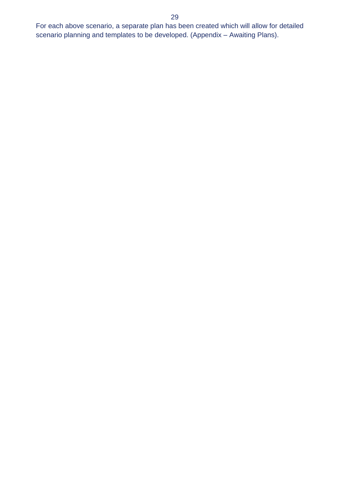For each above scenario, a separate plan has been created which will allow for detailed scenario planning and templates to be developed. (Appendix – Awaiting Plans).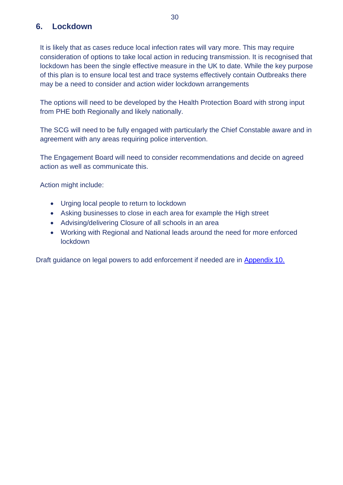# **6. Lockdown**

It is likely that as cases reduce local infection rates will vary more. This may require consideration of options to take local action in reducing transmission. It is recognised that lockdown has been the single effective measure in the UK to date. While the key purpose of this plan is to ensure local test and trace systems effectively contain Outbreaks there may be a need to consider and action wider lockdown arrangements

The options will need to be developed by the Health Protection Board with strong input from PHE both Regionally and likely nationally.

The SCG will need to be fully engaged with particularly the Chief Constable aware and in agreement with any areas requiring police intervention.

The Engagement Board will need to consider recommendations and decide on agreed action as well as communicate this.

Action might include:

- Urging local people to return to lockdown
- Asking businesses to close in each area for example the High street
- Advising/delivering Closure of all schools in an area
- Working with Regional and National leads around the need for more enforced lockdown

Draft guidance on legal powers to add enforcement if needed are in Appendix 10.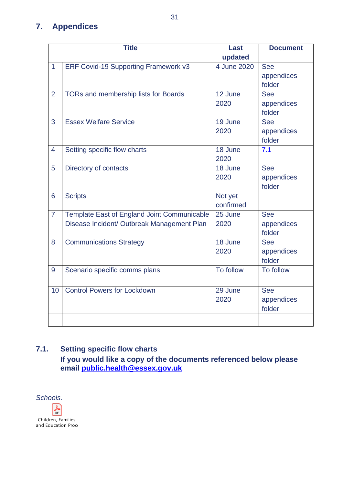# <span id="page-30-0"></span>**7. Appendices**

| <b>Title</b>   |                                                                                           | <b>Last</b>          | <b>Document</b>                    |
|----------------|-------------------------------------------------------------------------------------------|----------------------|------------------------------------|
|                |                                                                                           | updated              |                                    |
| $\mathbf{1}$   | ERF Covid-19 Supporting Framework v3                                                      | 4 June 2020          | <b>See</b><br>appendices<br>folder |
| $\overline{2}$ | TORs and membership lists for Boards                                                      | 12 June<br>2020      | <b>See</b><br>appendices<br>folder |
| 3              | <b>Essex Welfare Service</b>                                                              | 19 June<br>2020      | <b>See</b><br>appendices<br>folder |
| $\overline{4}$ | Setting specific flow charts                                                              | 18 June<br>2020      | 7.1                                |
| 5              | Directory of contacts                                                                     | 18 June<br>2020      | <b>See</b><br>appendices<br>folder |
| 6              | <b>Scripts</b>                                                                            | Not yet<br>confirmed |                                    |
| $\overline{7}$ | Template East of England Joint Communicable<br>Disease Incident/ Outbreak Management Plan | 25 June<br>2020      | <b>See</b><br>appendices<br>folder |
| 8              | <b>Communications Strategy</b>                                                            | 18 June<br>2020      | <b>See</b><br>appendices<br>folder |
| 9              | Scenario specific comms plans                                                             | To follow            | To follow                          |
| 10             | <b>Control Powers for Lockdown</b>                                                        | 29 June<br>2020      | <b>See</b><br>appendices<br>folder |
|                |                                                                                           |                      |                                    |

# <span id="page-30-2"></span>**7.1. Setting specific flow charts If you would like a copy of the documents referenced below please**

**email [public.health@essex.gov.uk](mailto:public.health@essex.gov.uk)**

<span id="page-30-1"></span>